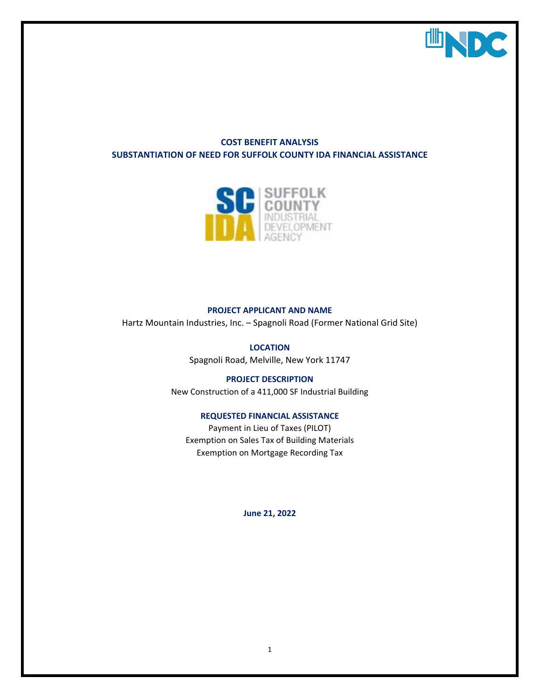

# **COST BENEFIT ANALYSIS SUBSTANTIATION OF NEED FOR SUFFOLK COUNTY IDA FINANCIAL ASSISTANCE**



## **PROJECT APPLICANT AND NAME**

Hartz Mountain Industries, Inc. – Spagnoli Road (Former National Grid Site)

**LOCATION** Spagnoli Road, Melville, New York 11747

**PROJECT DESCRIPTION** New Construction of a 411,000 SF Industrial Building

#### **REQUESTED FINANCIAL ASSISTANCE**

Payment in Lieu of Taxes (PILOT) Exemption on Sales Tax of Building Materials Exemption on Mortgage Recording Tax

**June 21, 2022**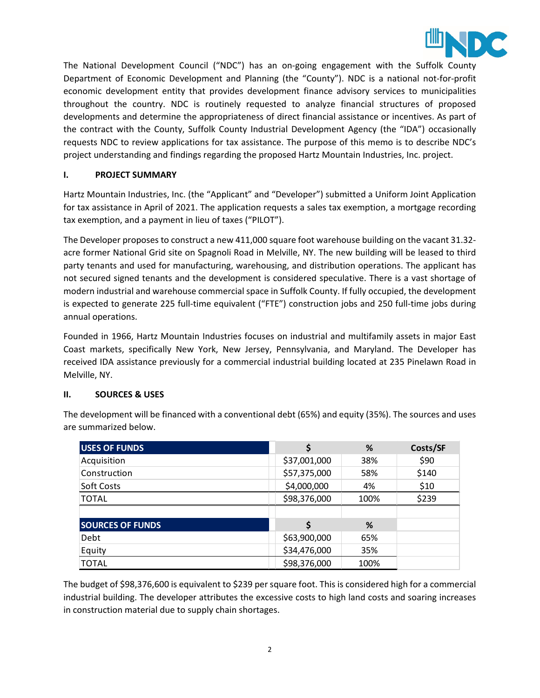

The National Development Council ("NDC") has an on-going engagement with the Suffolk County Department of Economic Development and Planning (the "County"). NDC is a national not-for-profit economic development entity that provides development finance advisory services to municipalities throughout the country. NDC is routinely requested to analyze financial structures of proposed developments and determine the appropriateness of direct financial assistance or incentives. As part of the contract with the County, Suffolk County Industrial Development Agency (the "IDA") occasionally requests NDC to review applications for tax assistance. The purpose of this memo is to describe NDC's project understanding and findings regarding the proposed Hartz Mountain Industries, Inc. project.

## **I. PROJECT SUMMARY**

Hartz Mountain Industries, Inc. (the "Applicant" and "Developer") submitted a Uniform Joint Application for tax assistance in April of 2021. The application requests a sales tax exemption, a mortgage recording tax exemption, and a payment in lieu of taxes ("PILOT").

The Developer proposes to construct a new 411,000 square foot warehouse building on the vacant 31.32 acre former National Grid site on Spagnoli Road in Melville, NY. The new building will be leased to third party tenants and used for manufacturing, warehousing, and distribution operations. The applicant has not secured signed tenants and the development is considered speculative. There is a vast shortage of modern industrial and warehouse commercial space in Suffolk County. If fully occupied, the development is expected to generate 225 full-time equivalent ("FTE") construction jobs and 250 full-time jobs during annual operations.

Founded in 1966, Hartz Mountain Industries focuses on industrial and multifamily assets in major East Coast markets, specifically New York, New Jersey, Pennsylvania, and Maryland. The Developer has received IDA assistance previously for a commercial industrial building located at 235 Pinelawn Road in Melville, NY.

## **II. SOURCES & USES**

The development will be financed with a conventional debt (65%) and equity (35%). The sources and uses are summarized below.

| <b>USES OF FUNDS</b>    |                      | %   | Costs/SF |
|-------------------------|----------------------|-----|----------|
| Acquisition             | \$37,001,000         | 38% | \$90     |
| Construction            | \$57,375,000         | 58% | \$140    |
| Soft Costs              | \$4,000,000          | 4%  | \$10     |
| <b>TOTAL</b>            | \$98,376,000<br>100% |     | \$239    |
|                         |                      |     |          |
|                         |                      |     |          |
| <b>SOURCES OF FUNDS</b> |                      | %   |          |
| Debt                    | \$63,900,000         | 65% |          |
| Equity                  | \$34,476,000         | 35% |          |

The budget of \$98,376,600 is equivalent to \$239 per square foot. This is considered high for a commercial industrial building. The developer attributes the excessive costs to high land costs and soaring increases in construction material due to supply chain shortages.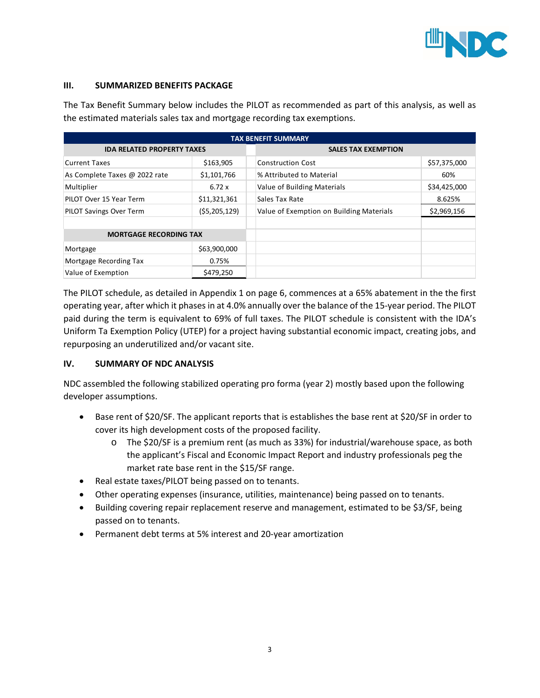

### **III. SUMMARIZED BENEFITS PACKAGE**

The Tax Benefit Summary below includes the PILOT as recommended as part of this analysis, as well as the estimated materials sales tax and mortgage recording tax exemptions.

| <b>TAX BENEFIT SUMMARY</b>        |                |  |                                          |              |  |  |  |
|-----------------------------------|----------------|--|------------------------------------------|--------------|--|--|--|
| <b>IDA RELATED PROPERTY TAXES</b> |                |  | <b>SALES TAX EXEMPTION</b>               |              |  |  |  |
| <b>Current Taxes</b>              | \$163,905      |  | <b>Construction Cost</b>                 | \$57,375,000 |  |  |  |
| As Complete Taxes @ 2022 rate     | \$1,101,766    |  | % Attributed to Material                 | 60%          |  |  |  |
| Multiplier                        | 6.72 x         |  | Value of Building Materials              | \$34,425,000 |  |  |  |
| PILOT Over 15 Year Term           | \$11,321,361   |  | Sales Tax Rate                           | 8.625%       |  |  |  |
| <b>PILOT Savings Over Term</b>    | (55, 205, 129) |  | Value of Exemption on Building Materials | \$2,969,156  |  |  |  |
|                                   |                |  |                                          |              |  |  |  |
| <b>MORTGAGE RECORDING TAX</b>     |                |  |                                          |              |  |  |  |
| Mortgage                          | \$63,900,000   |  |                                          |              |  |  |  |
| Mortgage Recording Tax            | 0.75%          |  |                                          |              |  |  |  |
| Value of Exemption                | \$479,250      |  |                                          |              |  |  |  |

The PILOT schedule, as detailed in Appendix 1 on page 6, commences at a 65% abatement in the the first operating year, after which it phases in at 4.0% annually over the balance of the 15-year period. The PILOT paid during the term is equivalent to 69% of full taxes. The PILOT schedule is consistent with the IDA's Uniform Ta Exemption Policy (UTEP) for a project having substantial economic impact, creating jobs, and repurposing an underutilized and/or vacant site.

## **IV. SUMMARY OF NDC ANALYSIS**

NDC assembled the following stabilized operating pro forma (year 2) mostly based upon the following developer assumptions.

- Base rent of \$20/SF. The applicant reports that is establishes the base rent at \$20/SF in order to cover its high development costs of the proposed facility.
	- o The \$20/SF is a premium rent (as much as 33%) for industrial/warehouse space, as both the applicant's Fiscal and Economic Impact Report and industry professionals peg the market rate base rent in the \$15/SF range.
- Real estate taxes/PILOT being passed on to tenants.
- Other operating expenses (insurance, utilities, maintenance) being passed on to tenants.
- Building covering repair replacement reserve and management, estimated to be \$3/SF, being passed on to tenants.
- Permanent debt terms at 5% interest and 20-year amortization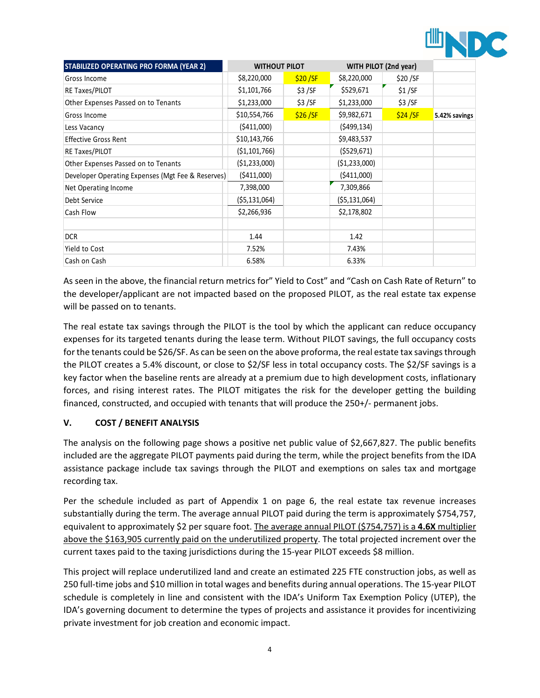

| STABILIZED OPERATING PRO FORMA (YEAR 2)           | <b>WITHOUT PILOT</b> |         | WITH PILOT (2nd year) |         |               |
|---------------------------------------------------|----------------------|---------|-----------------------|---------|---------------|
| Gross Income                                      | \$8,220,000          | \$20/SF | \$8,220,000           | \$20/SF |               |
| RE Taxes/PILOT                                    | \$1,101,766          | \$3/SF  | \$529,671             | \$1/SF  |               |
| Other Expenses Passed on to Tenants               | \$1,233,000          | \$3/SF  | \$1,233,000           | \$3/SF  |               |
| Gross Income                                      | \$10,554,766         | \$26/SF | \$9,982,671           | \$24/SF | 5.42% savings |
| Less Vacancy                                      | (5411,000)           |         | (5499, 134)           |         |               |
| <b>Effective Gross Rent</b>                       | \$10,143,766         |         | \$9,483,537           |         |               |
| RE Taxes/PILOT                                    | ( \$1,101,766)       |         | (5529, 671)           |         |               |
| Other Expenses Passed on to Tenants               | ( \$1,233,000)       |         | (51,233,000)          |         |               |
| Developer Operating Expenses (Mgt Fee & Reserves) | ( \$411,000)         |         | (5411,000)            |         |               |
| Net Operating Income                              | 7,398,000            |         | 7,309,866             |         |               |
| Debt Service                                      | ( \$5,131,064)       |         | (55, 131, 064)        |         |               |
| Cash Flow                                         | \$2,266,936          |         | \$2,178,802           |         |               |
|                                                   |                      |         |                       |         |               |
| <b>DCR</b>                                        | 1.44                 |         | 1.42                  |         |               |
| Yield to Cost                                     | 7.52%                |         | 7.43%                 |         |               |
| Cash on Cash                                      | 6.58%                |         | 6.33%                 |         |               |

As seen in the above, the financial return metrics for" Yield to Cost" and "Cash on Cash Rate of Return" to the developer/applicant are not impacted based on the proposed PILOT, as the real estate tax expense will be passed on to tenants.

The real estate tax savings through the PILOT is the tool by which the applicant can reduce occupancy expenses for its targeted tenants during the lease term. Without PILOT savings, the full occupancy costs for the tenants could be \$26/SF. As can be seen on the above proforma, the real estate tax savings through the PILOT creates a 5.4% discount, or close to \$2/SF less in total occupancy costs. The \$2/SF savings is a key factor when the baseline rents are already at a premium due to high development costs, inflationary forces, and rising interest rates. The PILOT mitigates the risk for the developer getting the building financed, constructed, and occupied with tenants that will produce the 250+/- permanent jobs.

# **V. COST / BENEFIT ANALYSIS**

The analysis on the following page shows a positive net public value of \$2,667,827. The public benefits included are the aggregate PILOT payments paid during the term, while the project benefits from the IDA assistance package include tax savings through the PILOT and exemptions on sales tax and mortgage recording tax.

Per the schedule included as part of Appendix 1 on page 6, the real estate tax revenue increases substantially during the term. The average annual PILOT paid during the term is approximately \$754,757, equivalent to approximately \$2 per square foot. The average annual PILOT (\$754,757) is a **4.6X** multiplier above the \$163,905 currently paid on the underutilized property. The total projected increment over the current taxes paid to the taxing jurisdictions during the 15-year PILOT exceeds \$8 million.

This project will replace underutilized land and create an estimated 225 FTE construction jobs, as well as 250 full-time jobs and \$10 million in total wages and benefits during annual operations. The 15-year PILOT schedule is completely in line and consistent with the IDA's Uniform Tax Exemption Policy (UTEP), the IDA's governing document to determine the types of projects and assistance it provides for incentivizing private investment for job creation and economic impact.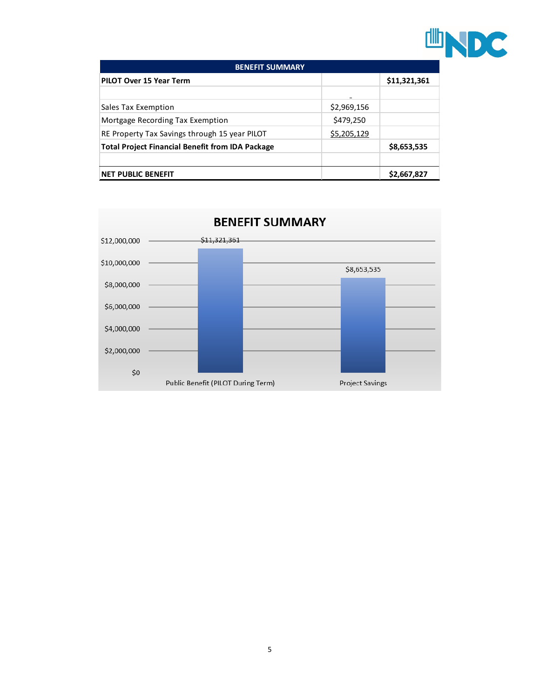

| <b>BENEFIT SUMMARY</b>                                  |                |              |  |  |  |
|---------------------------------------------------------|----------------|--------------|--|--|--|
| PILOT Over 15 Year Term                                 |                | \$11,321,361 |  |  |  |
|                                                         | $\blacksquare$ |              |  |  |  |
| Sales Tax Exemption                                     | \$2,969,156    |              |  |  |  |
| Mortgage Recording Tax Exemption                        | \$479,250      |              |  |  |  |
| RE Property Tax Savings through 15 year PILOT           | \$5,205,129    |              |  |  |  |
| <b>Total Project Financial Benefit from IDA Package</b> |                | \$8,653,535  |  |  |  |
|                                                         |                |              |  |  |  |
| <b>NET PUBLIC BENEFIT</b>                               |                | \$2,667,827  |  |  |  |

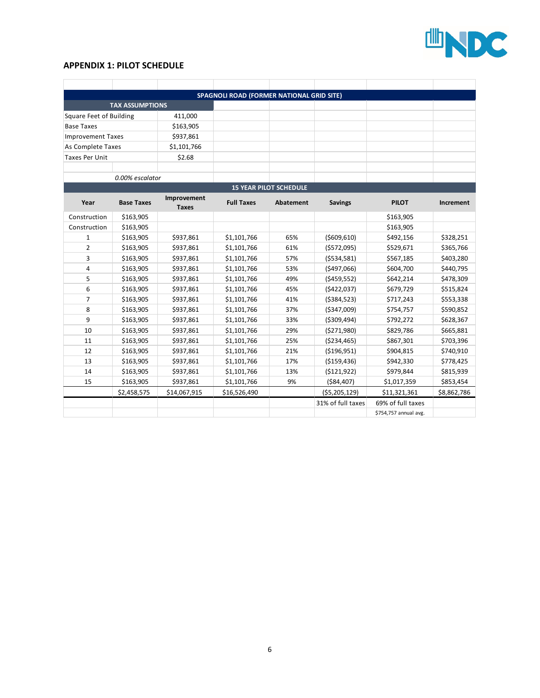

### **APPENDIX 1: PILOT SCHEDULE**

|                          |                        |                             | SPAGNOLI ROAD (FORMER NATIONAL GRID SITE) |                               |                   |                       |             |
|--------------------------|------------------------|-----------------------------|-------------------------------------------|-------------------------------|-------------------|-----------------------|-------------|
|                          | <b>TAX ASSUMPTIONS</b> |                             |                                           |                               |                   |                       |             |
| Square Feet of Building  |                        | 411,000                     |                                           |                               |                   |                       |             |
| <b>Base Taxes</b>        |                        | \$163,905                   |                                           |                               |                   |                       |             |
| <b>Improvement Taxes</b> |                        | \$937,861                   |                                           |                               |                   |                       |             |
| As Complete Taxes        |                        | \$1,101,766                 |                                           |                               |                   |                       |             |
| <b>Taxes Per Unit</b>    |                        | \$2.68                      |                                           |                               |                   |                       |             |
|                          |                        |                             |                                           |                               |                   |                       |             |
|                          | 0.00% escalator        |                             |                                           |                               |                   |                       |             |
|                          |                        |                             |                                           | <b>15 YEAR PILOT SCHEDULE</b> |                   |                       |             |
| Year                     | <b>Base Taxes</b>      | Improvement<br><b>Taxes</b> | <b>Full Taxes</b>                         | Abatement                     | <b>Savings</b>    | <b>PILOT</b>          | Increment   |
| Construction             | \$163,905              |                             |                                           |                               |                   | \$163,905             |             |
| Construction             | \$163,905              |                             |                                           |                               |                   | \$163,905             |             |
| 1                        | \$163,905              | \$937,861                   | \$1,101,766                               | 65%                           | ( \$609, 610)     | \$492,156             | \$328,251   |
| $\overline{2}$           | \$163,905              | \$937,861                   | \$1,101,766                               | 61%                           | (\$572,095)       | \$529,671             | \$365,766   |
| 3                        | \$163,905              | \$937,861                   | \$1,101,766                               | 57%                           | ( \$534, 581)     | \$567,185             | \$403,280   |
| 4                        | \$163,905              | \$937,861                   | \$1,101,766                               | 53%                           | (5497,066)        | \$604,700             | \$440,795   |
| 5                        | \$163,905              | \$937,861                   | \$1,101,766                               | 49%                           | ( \$459, 552)     | \$642,214             | \$478,309   |
| 6                        | \$163,905              | \$937,861                   | \$1,101,766                               | 45%                           | (\$422,037)       | \$679,729             | \$515,824   |
| $\overline{7}$           | \$163,905              | \$937,861                   | \$1,101,766                               | 41%                           | ( \$384, 523)     | \$717,243             | \$553,338   |
| 8                        | \$163,905              | \$937,861                   | \$1,101,766                               | 37%                           | ( \$347,009)      | \$754,757             | \$590,852   |
| 9                        | \$163,905              | \$937,861                   | \$1,101,766                               | 33%                           | ( \$309,494)      | \$792,272             | \$628,367   |
| 10                       | \$163,905              | \$937,861                   | \$1,101,766                               | 29%                           | (5271,980)        | \$829,786             | \$665,881   |
| 11                       | \$163,905              | \$937,861                   | \$1,101,766                               | 25%                           | ( \$234,465)      | \$867,301             | \$703,396   |
| 12                       | \$163,905              | \$937,861                   | \$1,101,766                               | 21%                           | ( \$196, 951)     | \$904,815             | \$740,910   |
| 13                       | \$163,905              | \$937,861                   | \$1,101,766                               | 17%                           | (\$159,436)       | \$942,330             | \$778,425   |
| 14                       | \$163,905              | \$937,861                   | \$1,101,766                               | 13%                           | ( \$121, 922)     | \$979,844             | \$815,939   |
| 15                       | \$163,905              | \$937,861                   | \$1,101,766                               | 9%                            | ( \$84,407)       | \$1,017,359           | \$853,454   |
|                          | \$2,458,575            | \$14,067,915                | \$16,526,490                              |                               | ( \$5,205,129)    | \$11,321,361          | \$8,862,786 |
|                          |                        |                             |                                           |                               | 31% of full taxes | 69% of full taxes     |             |
|                          |                        |                             |                                           |                               |                   | \$754,757 annual avg. |             |